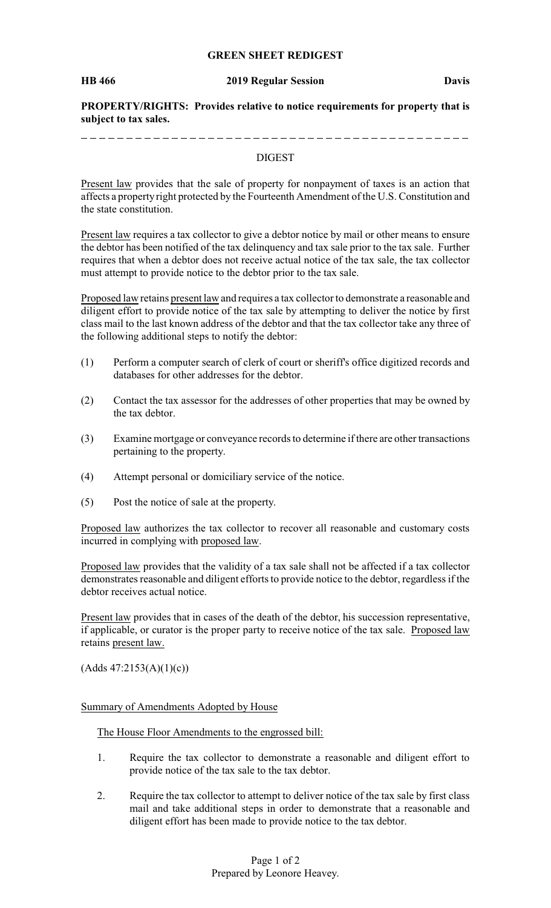## **GREEN SHEET REDIGEST**

#### **HB 466 2019 Regular Session Davis**

**PROPERTY/RIGHTS: Provides relative to notice requirements for property that is subject to tax sales.**

\_ \_ \_ \_ \_ \_ \_ \_ \_ \_ \_ \_ \_

#### DIGEST

Present law provides that the sale of property for nonpayment of taxes is an action that affects a property right protected by the Fourteenth Amendment of the U.S. Constitution and the state constitution.

Present law requires a tax collector to give a debtor notice by mail or other means to ensure the debtor has been notified of the tax delinquency and tax sale prior to the tax sale. Further requires that when a debtor does not receive actual notice of the tax sale, the tax collector must attempt to provide notice to the debtor prior to the tax sale.

Proposed law retains present law and requires a tax collector to demonstrate a reasonable and diligent effort to provide notice of the tax sale by attempting to deliver the notice by first class mail to the last known address of the debtor and that the tax collector take any three of the following additional steps to notify the debtor:

- (1) Perform a computer search of clerk of court or sheriff's office digitized records and databases for other addresses for the debtor.
- (2) Contact the tax assessor for the addresses of other properties that may be owned by the tax debtor.
- (3) Examine mortgage or conveyance records to determine if there are other transactions pertaining to the property.
- (4) Attempt personal or domiciliary service of the notice.
- (5) Post the notice of sale at the property.

Proposed law authorizes the tax collector to recover all reasonable and customary costs incurred in complying with proposed law.

Proposed law provides that the validity of a tax sale shall not be affected if a tax collector demonstrates reasonable and diligent efforts to provide notice to the debtor, regardless if the debtor receives actual notice.

Present law provides that in cases of the death of the debtor, his succession representative, if applicable, or curator is the proper party to receive notice of the tax sale. Proposed law retains present law.

 $(Adds 47:2153(A)(1)(c))$ 

## Summary of Amendments Adopted by House

The House Floor Amendments to the engrossed bill:

- 1. Require the tax collector to demonstrate a reasonable and diligent effort to provide notice of the tax sale to the tax debtor.
- 2. Require the tax collector to attempt to deliver notice of the tax sale by first class mail and take additional steps in order to demonstrate that a reasonable and diligent effort has been made to provide notice to the tax debtor.